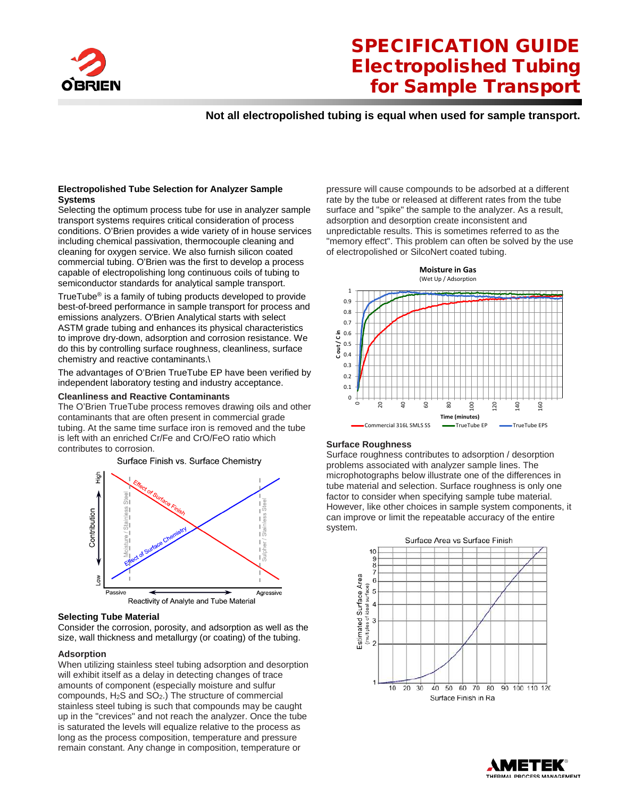

## SPECIFICATION GUIDE Electropolished Tubing for Sample Transport

## **Not all electropolished tubing is equal when used for sample transport.**

#### **Electropolished Tube Selection for Analyzer Sample Systems**

Selecting the optimum process tube for use in analyzer sample transport systems requires critical consideration of process conditions. O'Brien provides a wide variety of in house services including chemical passivation, thermocouple cleaning and cleaning for oxygen service. We also furnish silicon coated commercial tubing. O'Brien was the first to develop a process capable of electropolishing long continuous coils of tubing to semiconductor standards for analytical sample transport.

TrueTube® is a family of tubing products developed to provide best-of-breed performance in sample transport for process and emissions analyzers. O'Brien Analytical starts with select ASTM grade tubing and enhances its physical characteristics to improve dry-down, adsorption and corrosion resistance. We do this by controlling surface roughness, cleanliness, surface chemistry and reactive contaminants.\

The advantages of O'Brien TrueTube EP have been verified by independent laboratory testing and industry acceptance.

#### **Cleanliness and Reactive Contaminants**

The O'Brien TrueTube process removes drawing oils and other contaminants that are often present in commercial grade tubing. At the same time surface iron is removed and the tube is left with an enriched Cr/Fe and CrO/FeO ratio which contributes to corrosion.

Surface Finish vs. Surface Chemistry



#### **Selecting Tube Material**

Consider the corrosion, porosity, and adsorption as well as the size, wall thickness and metallurgy (or coating) of the tubing.

#### **Adsorption**

When utilizing stainless steel tubing adsorption and desorption will exhibit itself as a delay in detecting changes of trace amounts of component (especially moisture and sulfur compounds, H2S and SO2.) The structure of commercial stainless steel tubing is such that compounds may be caught up in the "crevices" and not reach the analyzer. Once the tube is saturated the levels will equalize relative to the process as long as the process composition, temperature and pressure remain constant. Any change in composition, temperature or

pressure will cause compounds to be adsorbed at a different rate by the tube or released at different rates from the tube surface and "spike" the sample to the analyzer. As a result, adsorption and desorption create inconsistent and unpredictable results. This is sometimes referred to as the "memory effect". This problem can often be solved by the use of electropolished or SilcoNert coated tubing.



#### **Surface Roughness**

Surface roughness contributes to adsorption / desorption problems associated with analyzer sample lines. The microphotographs below illustrate one of the differences in tube material and selection. Surface roughness is only one factor to consider when specifying sample tube material. However, like other choices in sample system components, it can improve or limit the repeatable accuracy of the entire system.